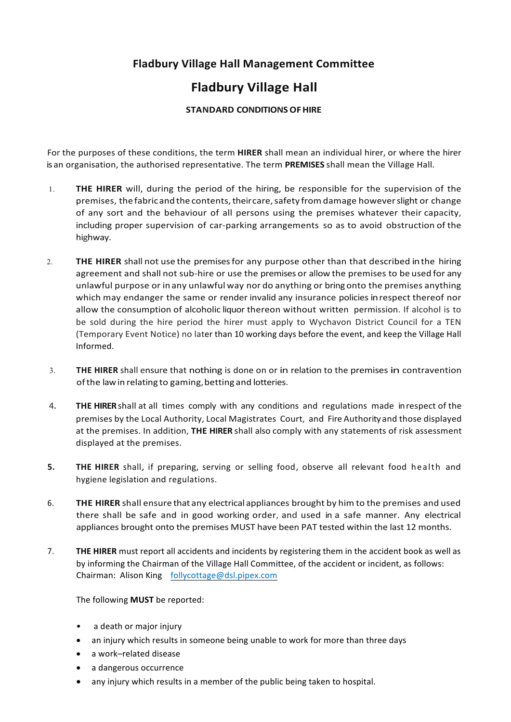## **Fladbury Village Hall Management Committee**

## **Fladbury Village Hall**

## **STANDARD CONDITIONS OF HIRE**

For the purposes of these conditions, the term **HIRER** shall mean an individual hirer, or where the hirer is an organisation, the authorised representative. The term PREMISES shall mean the Village Hall.

- 1. **THE HIRER** will, during the period of the hiring, be responsible for the supervision of the premises, the fabricand the contents, theircare, safety from damage however slight or change of any sort and the behaviour of all persons using the premises whatever their capacity, including proper supervision of car-parking arrangements so as to avoid obstruction of the highway.
- 2. THE HIRER shall not use the premises for any purpose other than that described in the hiring agreement and shall not sub-hire or use the premises or allow the premises to be used for any unlawful purpose or in any unlawful way nor do anything or bring onto the premises anything which may endanger the same or render invalid any insurance policies in respect thereof nor allow the consumption of alcoholic liquor thereon without written permission. If alcohol is to be sold during the hire period the hirer must apply to Wychavon District Council for a TEN (Temporary Event Notice) no later than 10 working days before the event, and keep the Village Hall Informed.
- 3. THE HIRER shall ensure that nothing is done on or in relation to the premises in contravention ofthe lawin relating to gaming,betting and lotteries.
- 4. THE HIRER shall at all times comply with any conditions and regulations made in respect of the premises by the Local Authority, Local Magistrates Court, and Fire Authority and those displayed at the premises. In addition, THE HIRER shall also comply with any statements of risk assessment displayed at the premises.
- **5.** THE HIRER shall, if preparing, serving or selling food, observe all relevant food health and hygiene legislation and regulations.
- 6. THE HIRER shall ensure that any electrical appliances brought by him to the premises and used there shall be safe and in good working order, and used in a safe manner. Any electrical appliances brought onto the premises MUST have been PAT tested within the last 12 months.
- 7. THE HIRER must report all accidents and incidents by registering them in the accident book as well as by informing the Chairman of the Village Hall Committee, of the accident or incident, as follows: Chairman: Alison King follycottage@dsl.pipex.com

The following **MUST** be reported:

- a death or major injury
- an injury which results in someone being unable to work for more than three days
- a work-related disease
- a dangerous occurrence
- any injury which results in a member of the public being taken to hospital.